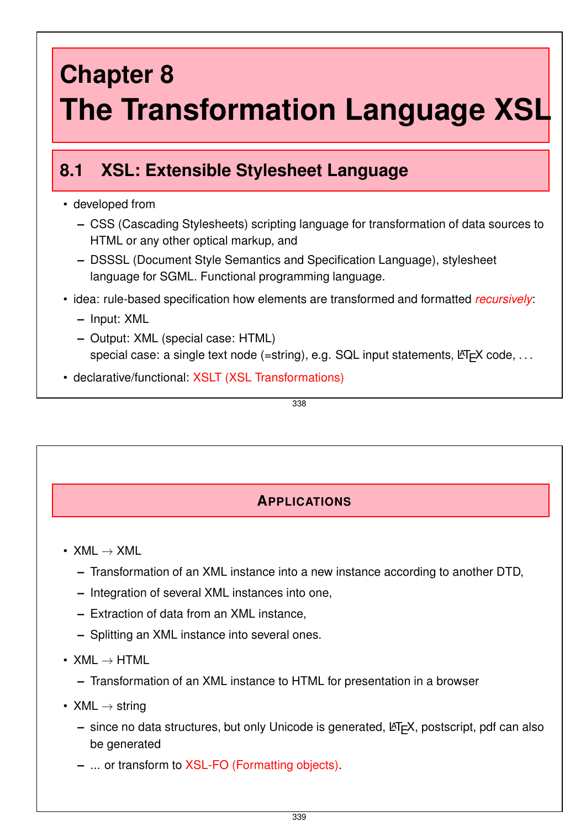# **Chapter 8 The Transformation Language XSL**

## **8.1 XSL: Extensible Stylesheet Language**

### • developed from

- **–** CSS (Cascading Stylesheets) scripting language for transformation of data sources to HTML or any other optical markup, and
- **–** DSSSL (Document Style Semantics and Specification Language), stylesheet language for SGML. Functional programming language.
- idea: rule-based specification how elements are transformed and formatted *recursively*:
	- **–** Input: XML
	- **–** Output: XML (special case: HTML) special case: a single text node (=string), e.g. SQL input statements,  $\cancel{\text{ETr}}$  code, ...
- declarative/functional: XSLT (XSL Transformations)

338

## **APPLICATIONS**

- $XML \rightarrow XML$ 
	- **–** Transformation of an XML instance into a new instance according to another DTD,
	- **–** Integration of several XML instances into one,
	- **–** Extraction of data from an XML instance,
	- **–** Splitting an XML instance into several ones.
- $XML \rightarrow HTML$ 
	- **–** Transformation of an XML instance to HTML for presentation in a browser
- $XML \rightarrow string$ 
	- **–** since no data structures, but only Unicode is generated, LATEX, postscript, pdf can also be generated
	- **–** ... or transform to XSL-FO (Formatting objects).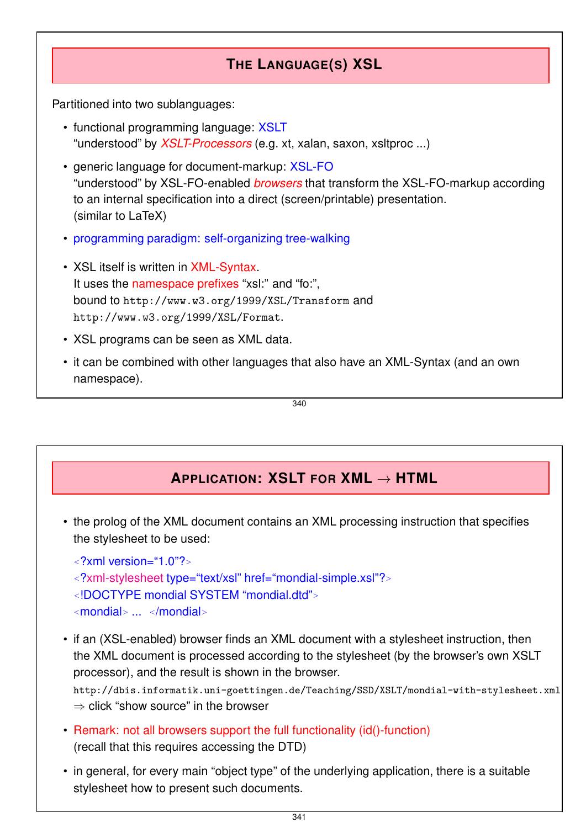## **THE LANGUAGE(S) XSL**

Partitioned into two sublanguages:

- functional programming language: XSLT "understood" by *XSLT-Processors* (e.g. xt, xalan, saxon, xsltproc ...)
- generic language for document-markup: XSL-FO "understood" by XSL-FO-enabled *browsers* that transform the XSL-FO-markup according to an internal specification into a direct (screen/printable) presentation. (similar to LaTeX)
- programming paradigm: self-organizing tree-walking
- XSL itself is written in XML-Syntax. It uses the namespace prefixes "xsl:" and "fo:", bound to http://www.w3.org/1999/XSL/Transform and http://www.w3.org/1999/XSL/Format.
- XSL programs can be seen as XML data.
- it can be combined with other languages that also have an XML-Syntax (and an own namespace).

340

## **APPLICATION: XSLT FOR XML** → **HTML**

• the prolog of the XML document contains an XML processing instruction that specifies the stylesheet to be used:

*<sup>&</sup>lt;*?xml version="1.0"?*<sup>&</sup>gt;*

- *<sup>&</sup>lt;*?xml-stylesheet type="text/xsl" href="mondial-simple.xsl"?*<sup>&</sup>gt;*
- *<sup>&</sup>lt;*!DOCTYPE mondial SYSTEM "mondial.dtd"*<sup>&</sup>gt;*
- *<sup>&</sup>lt;*mondial*<sup>&</sup>gt;* ... *<sup>&</sup>lt;*/mondial*<sup>&</sup>gt;*
- if an (XSL-enabled) browser finds an XML document with a stylesheet instruction, then the XML document is processed according to the stylesheet (by the browser's own XSLT processor), and the result is shown in the browser.

http://dbis.informatik.uni-goettingen.de/Teaching/SSD/XSLT/mondial-with-stylesheet.xml  $\Rightarrow$  click "show source" in the browser

- Remark: not all browsers support the full functionality (id()-function) (recall that this requires accessing the DTD)
- in general, for every main "object type" of the underlying application, there is a suitable stylesheet how to present such documents.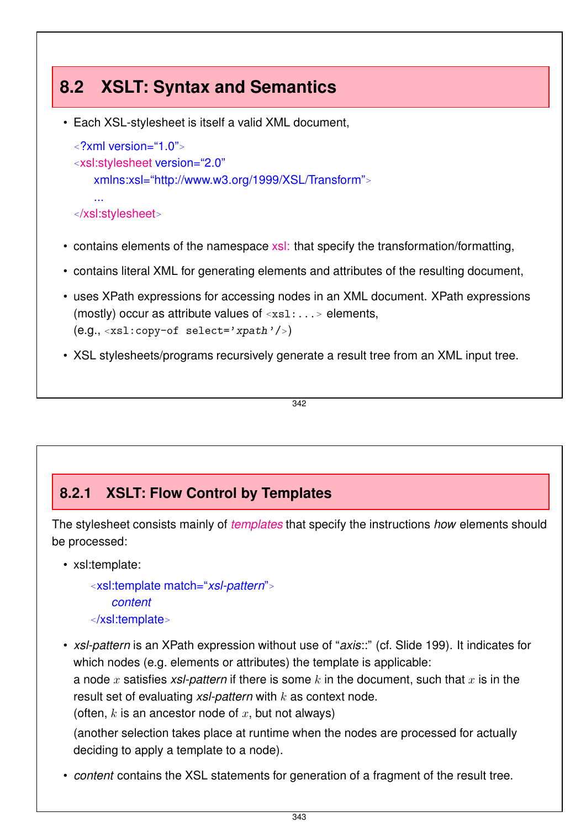## **8.2 XSLT: Syntax and Semantics**

• Each XSL-stylesheet is itself a valid XML document,

```
<?xml version="1.0">
<xsl:stylesheet version="2.0"
   xmlns:xsl="http://www.w3.org/1999/XSL/Transform">
   ...
</xsl:stylesheet>
```
- contains elements of the namespace xsl: that specify the transformation/formatting,
- contains literal XML for generating elements and attributes of the resulting document,
- uses XPath expressions for accessing nodes in an XML document. XPath expressions (mostly) occur as attribute values of *<sup>&</sup>lt;*xsl:...*<sup>&</sup>gt;* elements, (e.g., *<sup>&</sup>lt;*xsl:copy-of select='xpath'/*>*)
- XSL stylesheets/programs recursively generate a result tree from an XML input tree.

```
342
```
## **8.2.1 XSLT: Flow Control by Templates**

The stylesheet consists mainly of *templates* that specify the instructions *how* elements should be processed:

• xsl:template:

*<sup>&</sup>lt;*xsl:template match="*xsl-pattern*"*<sup>&</sup>gt; content <sup>&</sup>lt;*/xsl:template*<sup>&</sup>gt;*

• *xsl-pattern* is an XPath expression without use of "*axis*::" (cf. Slide 199). It indicates for which nodes (e.g. elements or attributes) the template is applicable: a node *x* satisfies *xsl-pattern* if there is some *k* in the document, such that *x* is in the result set of evaluating *xsl-pattern* with *k* as context node. (often, *k* is an ancestor node of *x*, but not always)

(another selection takes place at runtime when the nodes are processed for actually deciding to apply a template to a node).

• *content* contains the XSL statements for generation of a fragment of the result tree.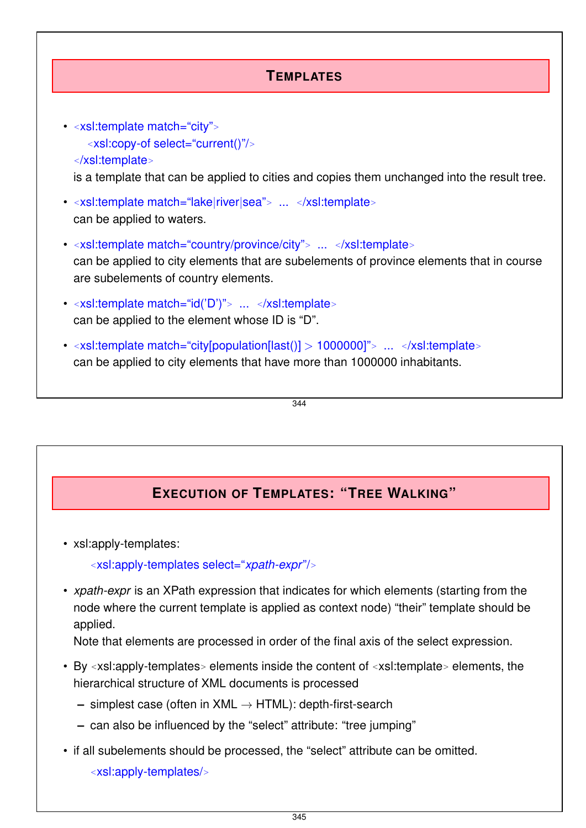## **TEMPLATES**

• *<sup>&</sup>lt;*xsl:template match="city"*<sup>&</sup>gt; <sup>&</sup>lt;*xsl:copy-of select="current()"/*<sup>&</sup>gt; <sup>&</sup>lt;*/xsl:template*<sup>&</sup>gt;* is a template that can be applied to cities and copies them unchanged into the result tree. • *<sup>&</sup>lt;*xsl:template match="lake|river|sea"*<sup>&</sup>gt;* ... *<sup>&</sup>lt;*/xsl:template*<sup>&</sup>gt;* can be applied to waters. • *<sup>&</sup>lt;*xsl:template match="country/province/city"*<sup>&</sup>gt;* ... *<sup>&</sup>lt;*/xsl:template*<sup>&</sup>gt;* can be applied to city elements that are subelements of province elements that in course are subelements of country elements. • *<sup>&</sup>lt;*xsl:template match="id('D')"*<sup>&</sup>gt;* ... *<sup>&</sup>lt;*/xsl:template*<sup>&</sup>gt;* can be applied to the element whose ID is "D". • *<sup>&</sup>lt;*xsl:template match="city[population[last()] *>* 1000000]"*<sup>&</sup>gt;* ... *<sup>&</sup>lt;*/xsl:template*<sup>&</sup>gt;* can be applied to city elements that have more than 1000000 inhabitants.

344

## **EXECUTION OF TEMPLATES: "TREE WALKING"**

• xsl:apply-templates:

*<sup>&</sup>lt;*xsl:apply-templates select="*xpath-expr*"/*<sup>&</sup>gt;*

• *xpath-expr* is an XPath expression that indicates for which elements (starting from the node where the current template is applied as context node) "their" template should be applied.

Note that elements are processed in order of the final axis of the select expression.

- By *<sup>&</sup>lt;*xsl:apply-templates*<sup>&</sup>gt;* elements inside the content of *<sup>&</sup>lt;*xsl:template*<sup>&</sup>gt;* elements, the hierarchical structure of XML documents is processed
	- **–** simplest case (often in XML → HTML): depth-first-search
	- **–** can also be influenced by the "select" attribute: "tree jumping"
- if all subelements should be processed, the "select" attribute can be omitted. *<sup>&</sup>lt;*xsl:apply-templates/*<sup>&</sup>gt;*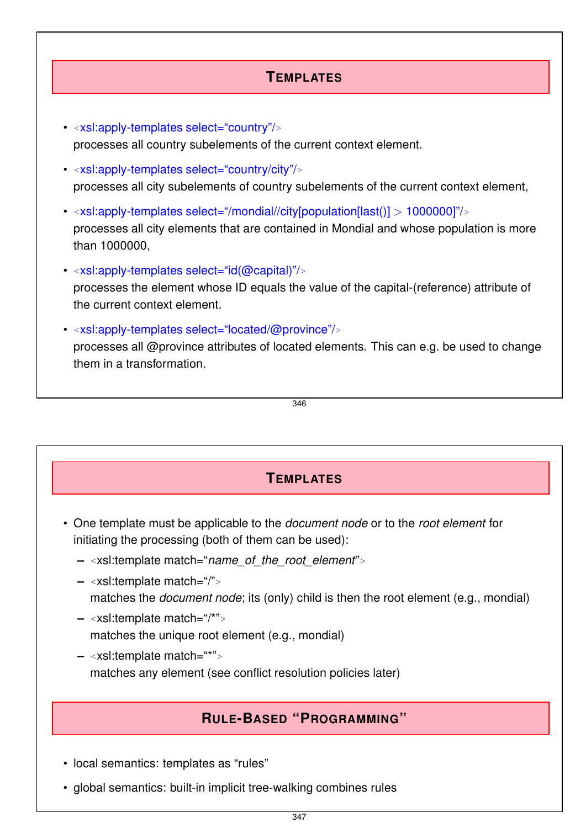## **TEMPLATES**

- *<sup>&</sup>lt;*xsl:apply-templates select="country"/*<sup>&</sup>gt;* processes all country subelements of the current context element.
- *<sup>&</sup>lt;*xsl:apply-templates select="country/city"/*<sup>&</sup>gt;* processes all city subelements of country subelements of the current context element,
- *<sup>&</sup>lt;*xsl:apply-templates select="/mondial//city[population[last()] *>* 1000000]"/*<sup>&</sup>gt;* processes all city elements that are contained in Mondial and whose population is more than 1000000.
- *<sup>&</sup>lt;*xsl:apply-templates select="id(@capital)"/*<sup>&</sup>gt;* processes the element whose ID equals the value of the capital-(reference) attribute of the current context element.
- *<sup>&</sup>lt;*xsl:apply-templates select="located/@province"/*<sup>&</sup>gt;* processes all @province attributes of located elements. This can e.g. be used to change them in a transformation.

346

## **TEMPLATES**

- One template must be applicable to the *document node* or to the *root element* for initiating the processing (both of them can be used):
	- **–** *<sup>&</sup>lt;*xsl:template match="*name\_of\_the\_root\_element*"*<sup>&</sup>gt;*
	- **–** *<sup>&</sup>lt;*xsl:template match="/"*<sup>&</sup>gt;* matches the *document node*; its (only) child is then the root element (e.g., mondial)
	- **–** *<sup>&</sup>lt;*xsl:template match="/\*"*<sup>&</sup>gt;* matches the unique root element (e.g., mondial)
	- **–** *<sup>&</sup>lt;*xsl:template match="\*"*<sup>&</sup>gt;* matches any element (see conflict resolution policies later)

## **RULE-BASED "PROGRAMMING"**

- local semantics: templates as "rules"
- global semantics: built-in implicit tree-walking combines rules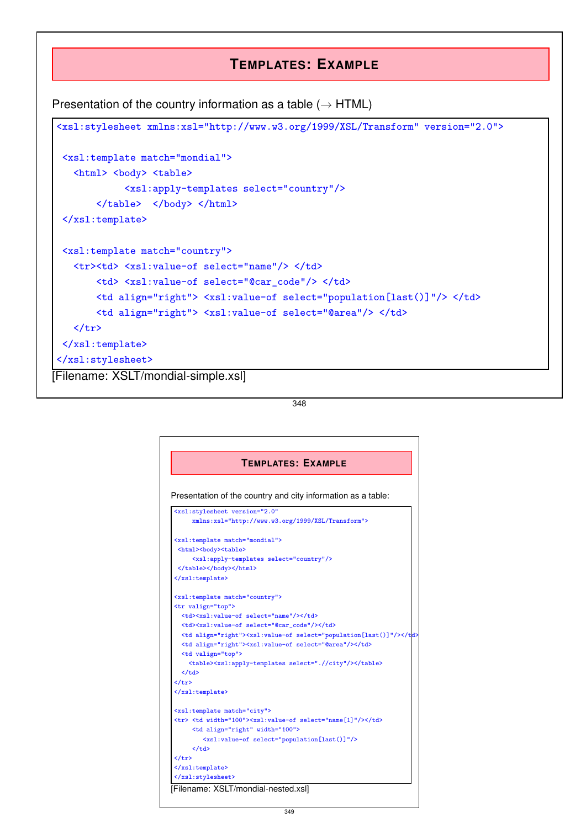### **TEMPLATES: EXAMPLE**

Presentation of the country information as a table  $(\rightarrow HTML)$ 



348

| <b>TEMPLATES: EXAMPLE</b>                                    |                                                              |
|--------------------------------------------------------------|--------------------------------------------------------------|
|                                                              |                                                              |
| Presentation of the country and city information as a table: |                                                              |
|                                                              | <xsl:stylesheet <="" th="" version="2.0"></xsl:stylesheet>   |
|                                                              | xmlns:xsl="http://www.w3.org/1999/XSL/Transform">            |
|                                                              | <xsl:template match="mondial"></xsl:template>                |
|                                                              | <html><br/>&gt;body&gt;<table></table></html>                |
|                                                              | <xsl:apply-templates select="country"></xsl:apply-templates> |
|                                                              |                                                              |

|  |  |
|  |  |
|  | | |  | |
|  | | |
|  | | |
|  | | |
|  | | |
|  | | |
|  |  |
|  | $\langle$ /td> |
|  | $\langle$ /tr> |
|  |  |
|  |  |
|  | |  | | --- | |
|  | | |
|  |  |
|  | $\langle t, d \rangle$ |
|  | $\langle$ /tr> |
|  |  |
|  |  |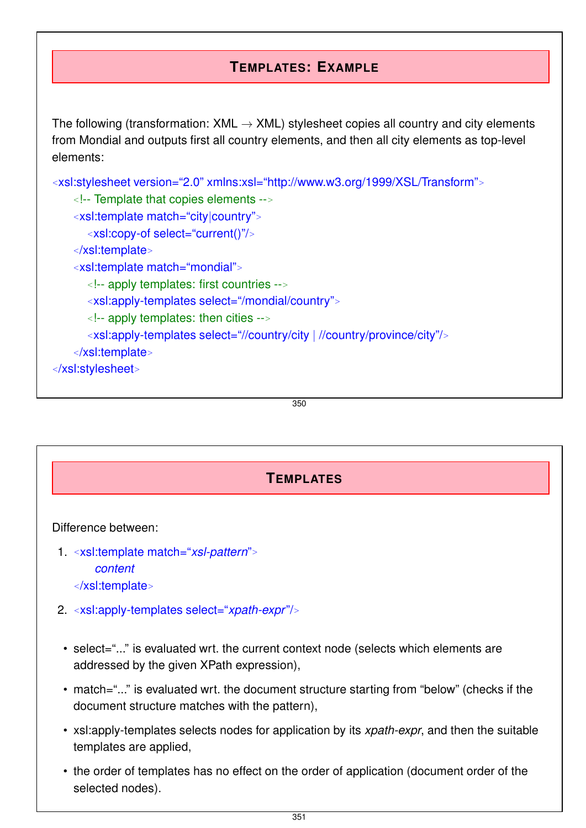## **TEMPLATES: EXAMPLE**

The following (transformation:  $XML \rightarrow XML$ ) stylesheet copies all country and city elements from Mondial and outputs first all country elements, and then all city elements as top-level elements:

```
<xsl:stylesheet version="2.0" xmlns:xsl="http://www.w3.org/1999/XSL/Transform">
   <!-- Template that copies elements -->
   <xsl:template match="city|country">
      <xsl:copy-of select="current()"/>
   </xsl:template>
   <xsl:template match="mondial">
      <!-- apply templates: first countries -->
      <xsl:apply-templates select="/mondial/country">
      <!-- apply templates: then cities -->
      <xsl:apply-templates select="//country/city | //country/province/city"/>
   </xsl:template>
</xsl:stylesheet>
```
#### 350

### **TEMPLATES**

### Difference between:

- 1. *<sup>&</sup>lt;*xsl:template match="*xsl-pattern*"*<sup>&</sup>gt; content <sup>&</sup>lt;*/xsl:template*<sup>&</sup>gt;*
- 2. *<sup>&</sup>lt;*xsl:apply-templates select="*xpath-expr*"/*<sup>&</sup>gt;*
	- select="..." is evaluated wrt. the current context node (selects which elements are addressed by the given XPath expression),
	- match="..." is evaluated wrt. the document structure starting from "below" (checks if the document structure matches with the pattern),
	- xsl:apply-templates selects nodes for application by its *xpath-expr*, and then the suitable templates are applied,
	- the order of templates has no effect on the order of application (document order of the selected nodes).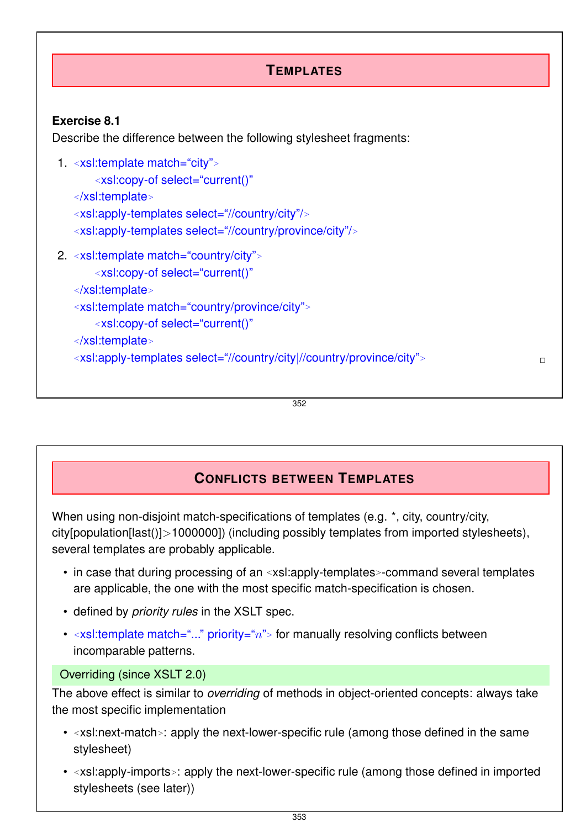

#### 352

### **CONFLICTS BETWEEN TEMPLATES**

When using non-disjoint match-specifications of templates (e.g.  $\star$ , city, country/city, city[population[last()]*>*1000000]) (including possibly templates from imported stylesheets), several templates are probably applicable.

- in case that during processing of an *<sup>&</sup>lt;*xsl:apply-templates*>*-command several templates are applicable, the one with the most specific match-specification is chosen.
- defined by *priority rules* in the XSLT spec.
- <xsl:template match="..." priority="n"> for manually resolving conflicts between incomparable patterns.

### Overriding (since XSLT 2.0)

The above effect is similar to *overriding* of methods in object-oriented concepts: always take the most specific implementation

- *<sup>&</sup>lt;*xsl:next-match*>*: apply the next-lower-specific rule (among those defined in the same stylesheet)
- *<sup>&</sup>lt;*xsl:apply-imports*>*: apply the next-lower-specific rule (among those defined in imported stylesheets (see later))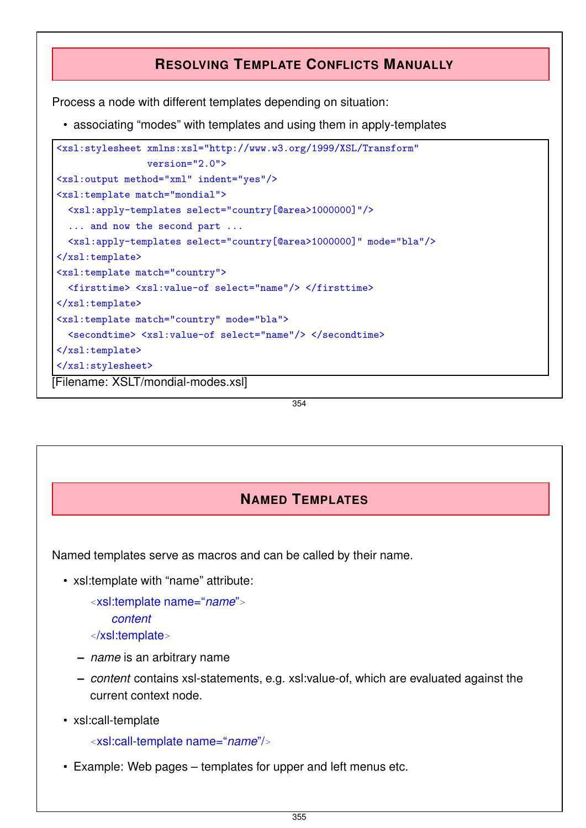## **RESOLVING TEMPLATE CONFLICTS MANUALLY**

Process a node with different templates depending on situation:

• associating "modes" with templates and using them in apply-templates

```
<xsl:stylesheet xmlns:xsl="http://www.w3.org/1999/XSL/Transform"
                 version="2.0">
<xsl:output method="xml" indent="yes"/>
<xsl:template match="mondial">
  <xsl:apply-templates select="country[@area>1000000]"/>
  ... and now the second part ...
  <xsl:apply-templates select="country[@area>1000000]" mode="bla"/>
\langle xsl:template \rangle<xsl:template match="country">
  <firsttime> <xsl:value-of select="name"/> </firsttime>
\langle xsl:template \rangle<xsl:template match="country" mode="bla">
  <secondtime> <xsl:value-of select="name"/> </secondtime>
\langle xsl:template\rangle</xsl:stylesheet>
[Filename: XSLT/mondial-modes.xsl]
```
354

## **NAMED TEMPLATES**

Named templates serve as macros and can be called by their name.

• xsl:template with "name" attribute:

*<sup>&</sup>lt;*xsl:template name="*name*"*<sup>&</sup>gt; content <sup>&</sup>lt;*/xsl:template*<sup>&</sup>gt;*

- **–** *name* is an arbitrary name
- **–** *content* contains xsl-statements, e.g. xsl:value-of, which are evaluated against the current context node.
- xsl:call-template

*<sup>&</sup>lt;*xsl:call-template name="*name*"/*<sup>&</sup>gt;*

• Example: Web pages – templates for upper and left menus etc.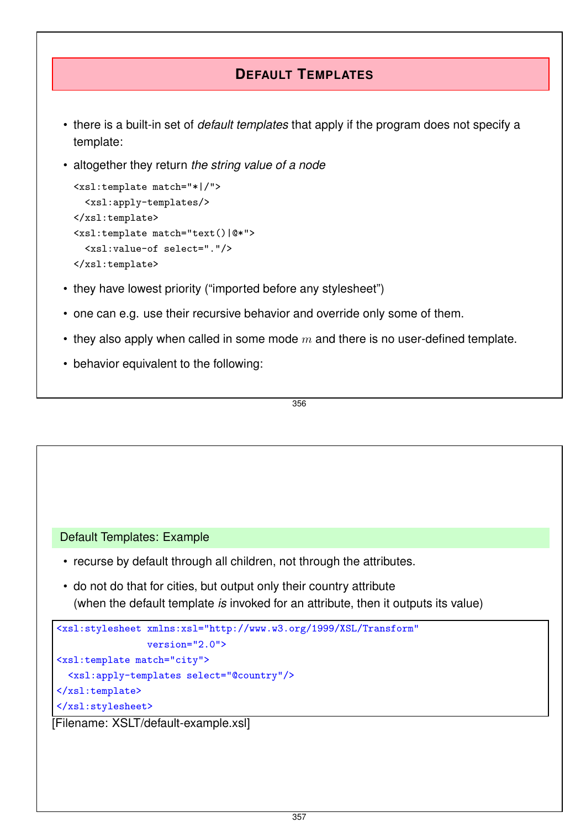## **DEFAULT TEMPLATES**

- there is a built-in set of *default templates* that apply if the program does not specify a template:
- altogether they return *the string value of a node*

```
<xsl:template match="*|/">
  <xsl:apply-templates/>
\langle xsl:template \rangle<xsl:template match="text()|@*">
  <xsl:value-of select="."/>
</xsl:template>
```
- they have lowest priority ("imported before any stylesheet")
- one can e.g. use their recursive behavior and override only some of them.
- they also apply when called in some mode *m* and there is no user-defined template.
- behavior equivalent to the following:

356

```
Default Templates: Example
```
- recurse by default through all children, not through the attributes.
- do not do that for cities, but output only their country attribute (when the default template *is* invoked for an attribute, then it outputs its value)

```
<xsl:stylesheet xmlns:xsl="http://www.w3.org/1999/XSL/Transform"
                 version="2.0">
<xsl:template match="city">
  <xsl:apply-templates select="@country"/>
\langle xsl:template \rangle</xsl:stylesheet>
```
[Filename: XSLT/default-example.xsl]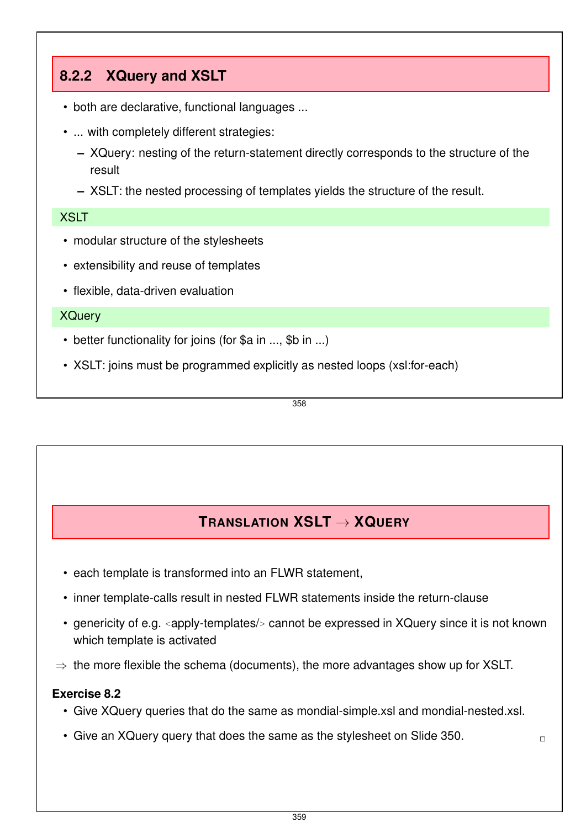## **8.2.2 XQuery and XSLT**

- both are declarative, functional languages ...
- ... with completely different strategies:
	- **–** XQuery: nesting of the return-statement directly corresponds to the structure of the result
	- **–** XSLT: the nested processing of templates yields the structure of the result.

### XSLT

- modular structure of the stylesheets
- extensibility and reuse of templates
- flexible, data-driven evaluation

### XQuery

- better functionality for joins (for \$a in ..., \$b in ...)
- XSLT: joins must be programmed explicitly as nested loops (xsl:for-each)

358

## **TRANSLATION XSLT** → **XQUERY**

- each template is transformed into an FLWR statement,
- inner template-calls result in nested FLWR statements inside the return-clause
- genericity of e.g. *<sup>&</sup>lt;*apply-templates/*<sup>&</sup>gt;* cannot be expressed in XQuery since it is not known which template is activated
- $\Rightarrow$  the more flexible the schema (documents), the more advantages show up for XSLT.

### **Exercise 8.2**

• Give XQuery queries that do the same as mondial-simple.xsl and mondial-nested.xsl.

359

• Give an XQuery query that does the same as the stylesheet on Slide 350.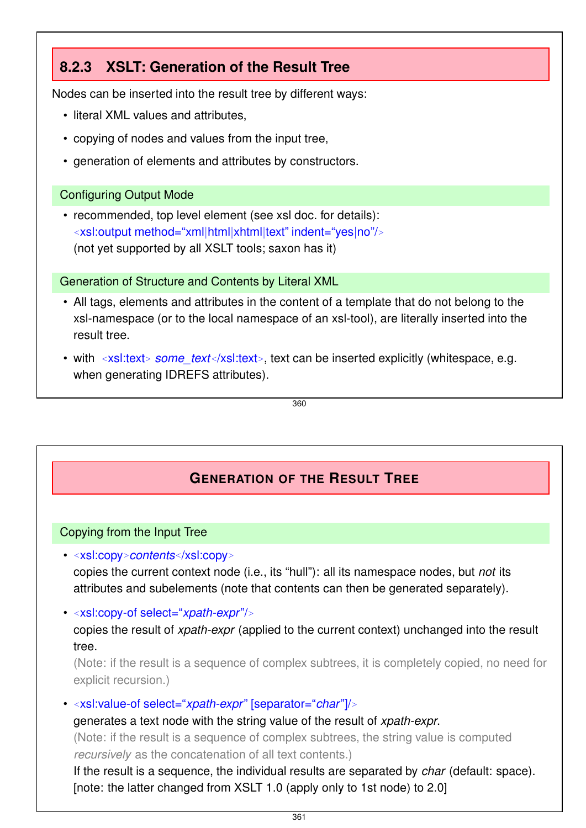## **8.2.3 XSLT: Generation of the Result Tree**

Nodes can be inserted into the result tree by different ways:

- literal XML values and attributes,
- copying of nodes and values from the input tree,
- generation of elements and attributes by constructors.

### Configuring Output Mode

• recommended, top level element (see xsl doc. for details): *<sup>&</sup>lt;*xsl:output method="xml|html|xhtml|text" indent="yes|no"/*<sup>&</sup>gt;* (not yet supported by all XSLT tools; saxon has it)

#### Generation of Structure and Contents by Literal XML

- All tags, elements and attributes in the content of a template that do not belong to the xsl-namespace (or to the local namespace of an xsl-tool), are literally inserted into the result tree.
- with <xsl:text> *some\_text*</xsl:text>, text can be inserted explicitly (whitespace, e.g. when generating IDREFS attributes).

360

## **GENERATION OF THE RESULT TREE**

### Copying from the Input Tree

• *<sup>&</sup>lt;*xsl:copy*>contents<*/xsl:copy*<sup>&</sup>gt;*

copies the current context node (i.e., its "hull"): all its namespace nodes, but *not* its attributes and subelements (note that contents can then be generated separately).

• *<sup>&</sup>lt;*xsl:copy-of select="*xpath-expr*"/*<sup>&</sup>gt;*

copies the result of *xpath-expr* (applied to the current context) unchanged into the result tree.

(Note: if the result is a sequence of complex subtrees, it is completely copied, no need for explicit recursion.)

• *<sup>&</sup>lt;*xsl:value-of select="*xpath-expr*" [separator="*char*"]/*<sup>&</sup>gt;*

generates a text node with the string value of the result of *xpath-expr*.

(Note: if the result is a sequence of complex subtrees, the string value is computed *recursively* as the concatenation of all text contents.)

If the result is a sequence, the individual results are separated by *char* (default: space). [note: the latter changed from XSLT 1.0 (apply only to 1st node) to 2.0]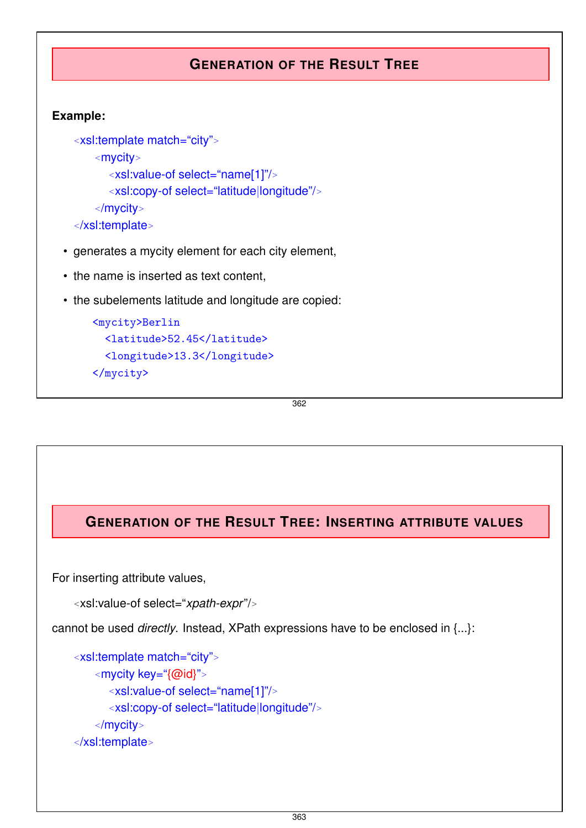## **GENERATION OF THE RESULT TREE**

### **Example:**

```
<xsl:template match="city">
    <mycity>
      <xsl:value-of select="name[1]"/>
      <xsl:copy-of select="latitude|longitude"/>
    </mycity>
</xsl:template>
```
- generates a mycity element for each city element,
- the name is inserted as text content,
- the subelements latitude and longitude are copied:

```
<mycity>Berlin
  <latitude>52.45</latitude>
  <longitude>13.3</longitude>
</mycity>
```
362

## **GENERATION OF THE RESULT TREE: INSERTING ATTRIBUTE VALUES**

For inserting attribute values,

```
<xsl:value-of select="xpath-expr"/>
```
cannot be used *directly*. Instead, XPath expressions have to be enclosed in {...}:

```
<xsl:template match="city">
    <mycity key="{@id}">
      <xsl:value-of select="name[1]"/>
      <xsl:copy-of select="latitude|longitude"/>
    </mycity>
</xsl:template>
```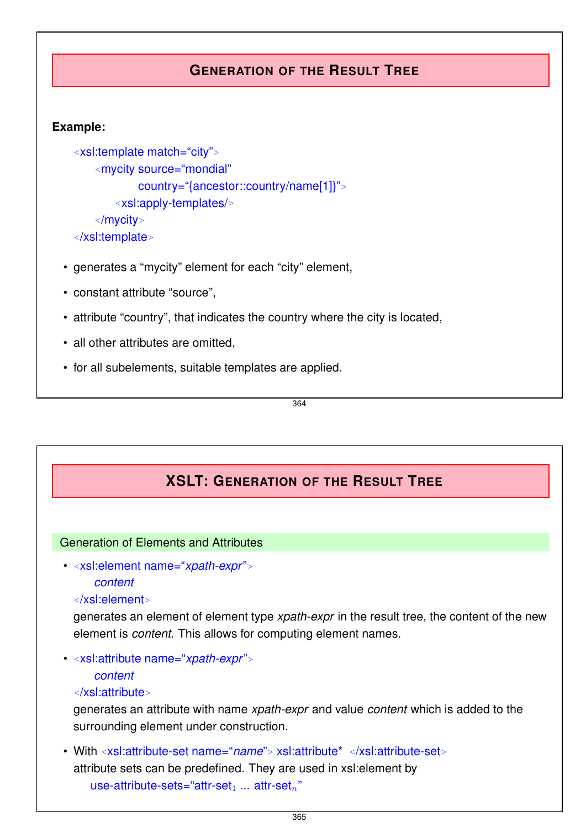## **GENERATION OF THE RESULT TREE**

### **Example:**

```
<xsl:template match="city">
    <mycity source="mondial"
           country="{ancestor::country/name[1]}">
       <xsl:apply-templates/>
   </mycity>
</xsl:template>
```
- generates a "mycity" element for each "city" element,
- constant attribute "source",
- attribute "country", that indicates the country where the city is located,
- all other attributes are omitted.
- for all subelements, suitable templates are applied.

364

## **XSLT: GENERATION OF THE RESULT TREE**

### Generation of Elements and Attributes

• *<sup>&</sup>lt;*xsl:element name="*xpath-expr*"*<sup>&</sup>gt; content*

### *<sup>&</sup>lt;*/xsl:element*<sup>&</sup>gt;*

generates an element of element type *xpath-expr* in the result tree, the content of the new element is *content*. This allows for computing element names.

• *<sup>&</sup>lt;*xsl:attribute name="*xpath-expr*"*<sup>&</sup>gt;*

```
content
```
### *<sup>&</sup>lt;*/xsl:attribute*<sup>&</sup>gt;*

generates an attribute with name *xpath-expr* and value *content* which is added to the surrounding element under construction.

• With *<sup>&</sup>lt;*xsl:attribute-set name="*name*"*<sup>&</sup>gt;* xsl:attribute\* *<sup>&</sup>lt;*/xsl:attribute-set*<sup>&</sup>gt;* attribute sets can be predefined. They are used in xsl:element by use-attribute-sets="attr-set<sub>1</sub> ... attr-set<sub>n</sub>"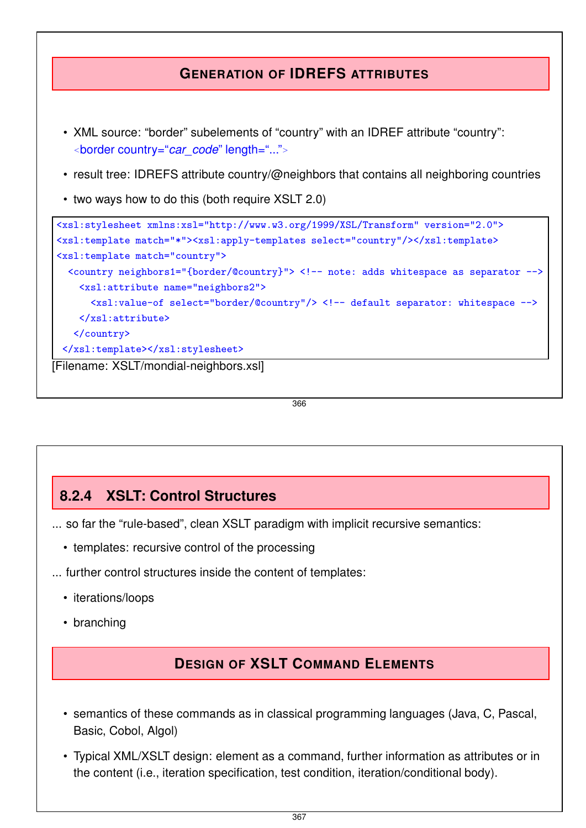## **GENERATION OF IDREFS ATTRIBUTES** • XML source: "border" subelements of "country" with an IDREF attribute "country": *<sup>&</sup>lt;*border country="*car\_code*" length="..."*<sup>&</sup>gt;* • result tree: IDREFS attribute country/@neighbors that contains all neighboring countries • two ways how to do this (both require XSLT 2.0) <xsl:stylesheet xmlns:xsl="http://www.w3.org/1999/XSL/Transform" version="2.0"> <xsl:template match="\*"><xsl:apply-templates select="country"/></xsl:template> <xsl:template match="country"> <country neighbors1="{border/@country}"> <!-- note: adds whitespace as separator --> <xsl:attribute name="neighbors2"> <xsl:value-of select="border/@country"/> <!-- default separator: whitespace --> </xsl:attribute> </country> </xsl:template></xsl:stylesheet> [Filename: XSLT/mondial-neighbors.xsl]

366

## **8.2.4 XSLT: Control Structures**

... so far the "rule-based", clean XSLT paradigm with implicit recursive semantics:

- templates: recursive control of the processing
- ... further control structures inside the content of templates:
	- iterations/loops
	- branching

## **DESIGN OF XSLT COMMAND ELEMENTS**

- semantics of these commands as in classical programming languages (Java, C, Pascal, Basic, Cobol, Algol)
- Typical XML/XSLT design: element as a command, further information as attributes or in the content (i.e., iteration specification, test condition, iteration/conditional body).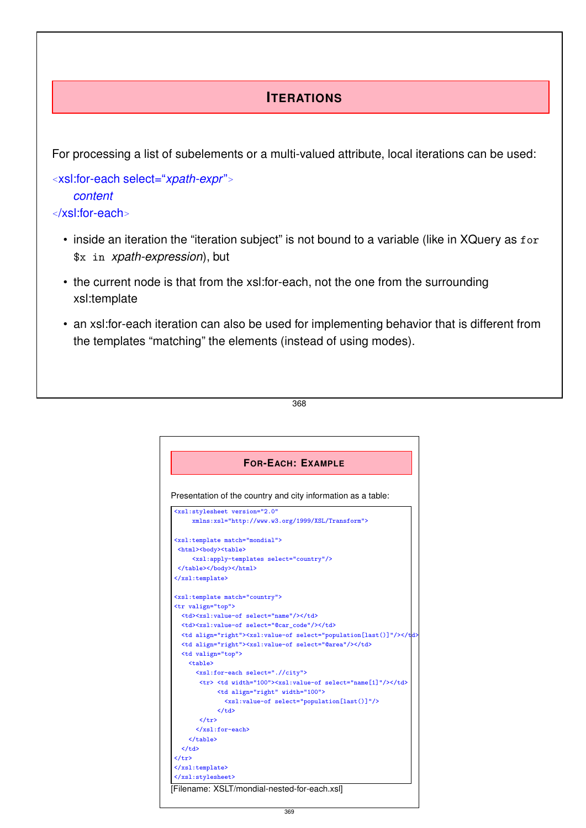## **ITERATIONS**

For processing a list of subelements or a multi-valued attribute, local iterations can be used:

*<sup>&</sup>lt;*xsl:for-each select="*xpath-expr*"*<sup>&</sup>gt; content <sup>&</sup>lt;*/xsl:for-each*<sup>&</sup>gt;*

- inside an iteration the "iteration subject" is not bound to a variable (like in XQuery as for \$x in *xpath-expression*), but
- the current node is that from the xsl:for-each, not the one from the surrounding xsl:template
- an xsl:for-each iteration can also be used for implementing behavior that is different from the templates "matching" the elements (instead of using modes).



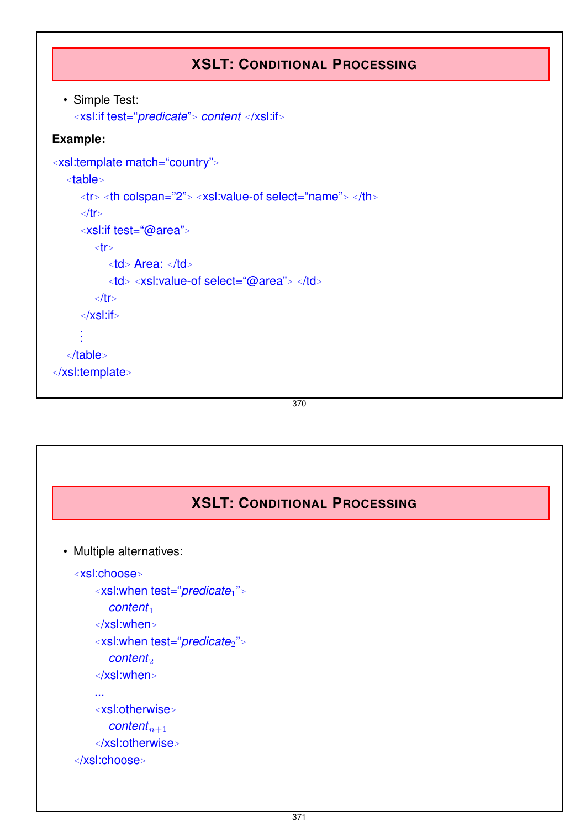## **XSLT: CONDITIONAL PROCESSING**

```
• Simple Test:
  <xsl:if test="predicate"> content </xsl:if>
```
### **Example:**

```
<xsl:template match="country">
  <table>
     <tr> <th colspan="2"> <xsl:value-of select="name"> </th>
     </tr>
     <xsl:if test="@area">
        <tr>
           <td> Area: </td>
           <td> <xsl:value-of select="@area"> </td>
        </tr>
     </xsl:if>
     .
.
.
  </table>
</xsl:template>
```
370

## **XSLT: CONDITIONAL PROCESSING**

```
• Multiple alternatives:
```

```
<xsl:choose>
    <xsl:when test="predicate1">
       content<sup>1</sup>
    </xsl:when>
    <xsl:when test="predicate2">
       content<sub>2</sub>
    </xsl:when>
    ...
    <xsl:otherwise>
       contentn+1
    </xsl:otherwise>
```

```
</xsl:choose>
```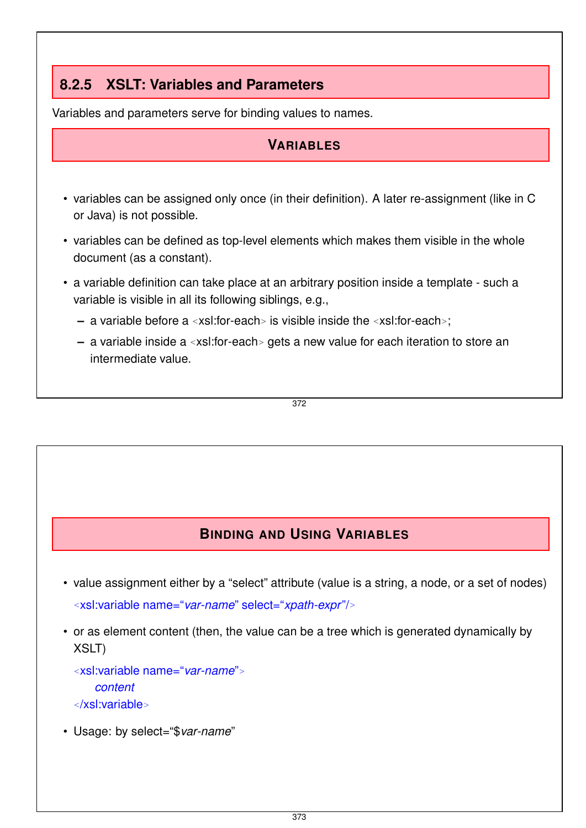## **8.2.5 XSLT: Variables and Parameters**

Variables and parameters serve for binding values to names.

### **VARIABLES**

- variables can be assigned only once (in their definition). A later re-assignment (like in C or Java) is not possible.
- variables can be defined as top-level elements which makes them visible in the whole document (as a constant).
- a variable definition can take place at an arbitrary position inside a template such a variable is visible in all its following siblings, e.g.,
	- **–** a variable before a *<sup>&</sup>lt;*xsl:for-each*<sup>&</sup>gt;* is visible inside the *<sup>&</sup>lt;*xsl:for-each*>*;
	- **–** a variable inside a *<sup>&</sup>lt;*xsl:for-each*<sup>&</sup>gt;* gets a new value for each iteration to store an intermediate value.

372

## **BINDING AND USING VARIABLES**

- value assignment either by a "select" attribute (value is a string, a node, or a set of nodes) *<sup>&</sup>lt;*xsl:variable name="*var-name*" select="*xpath-expr*"/*<sup>&</sup>gt;*
- or as element content (then, the value can be a tree which is generated dynamically by XSLT)

*<sup>&</sup>lt;*xsl:variable name="*var-name*"*<sup>&</sup>gt; content*

*<sup>&</sup>lt;*/xsl:variable*<sup>&</sup>gt;*

• Usage: by select="\$*var-name*"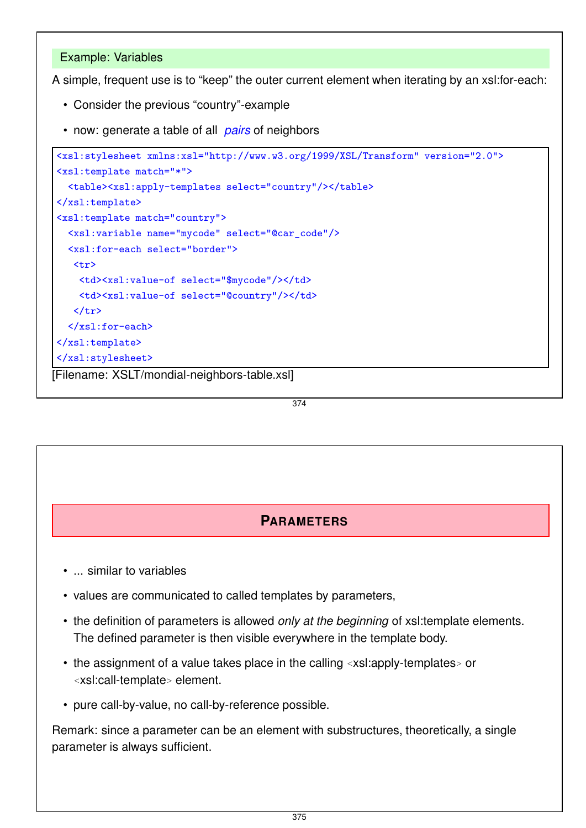### Example: Variables

A simple, frequent use is to "keep" the outer current element when iterating by an xsl:for-each:

- Consider the previous "country"-example
- now: generate a table of all *pairs* of neighbors

```
<xsl:stylesheet xmlns:xsl="http://www.w3.org/1999/XSL/Transform" version="2.0">
<xsl:template match="*">
  <table><xsl:apply-templates select="country"/></table>
\langle xsl:template\rangle<xsl:template match="country">
  <xsl:variable name="mycode" select="@car_code"/>
  <xsl:for-each select="border">
   <tr>
    <td><xsl:value-of select="$mycode"/></td>
    <td><xsl:value-of select="@country"/></td>
   \langle/tr>
  </xsl:for-each>
</xsl:template>
</xsl:stylesheet>
[Filename: XSLT/mondial-neighbors-table.xsl]
```
374

### **PARAMETERS**

- ... similar to variables
- values are communicated to called templates by parameters,
- the definition of parameters is allowed *only at the beginning* of xsl:template elements. The defined parameter is then visible everywhere in the template body.
- the assignment of a value takes place in the calling *<sup>&</sup>lt;*xsl:apply-templates*<sup>&</sup>gt;* or *<sup>&</sup>lt;*xsl:call-template*<sup>&</sup>gt;* element.
- pure call-by-value, no call-by-reference possible.

Remark: since a parameter can be an element with substructures, theoretically, a single parameter is always sufficient.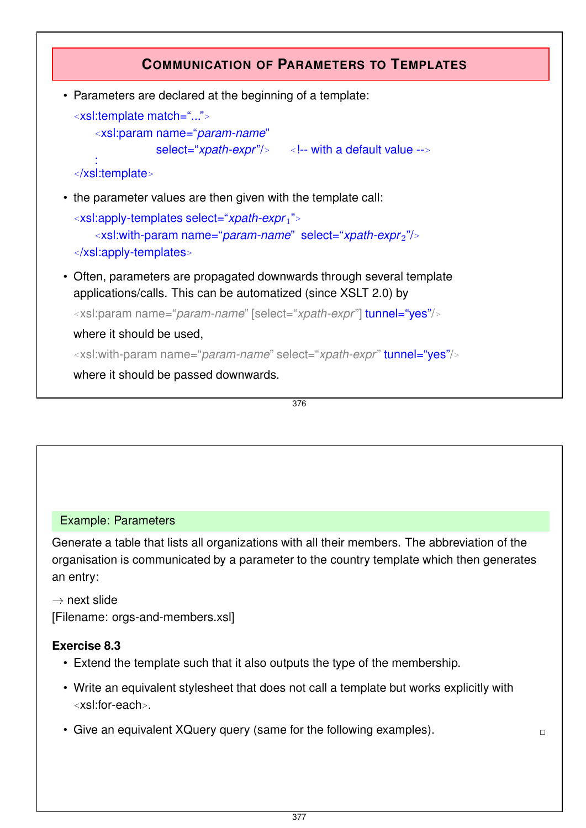

376

### Example: Parameters

Generate a table that lists all organizations with all their members. The abbreviation of the organisation is communicated by a parameter to the country template which then generates an entry:

 $\rightarrow$  next slide [Filename: orgs-and-members.xsl]

### **Exercise 8.3**

- Extend the template such that it also outputs the type of the membership.
- Write an equivalent stylesheet that does not call a template but works explicitly with *<sup>&</sup>lt;*xsl:for-each*>*.
- Give an equivalent XQuery query (same for the following examples).  $\Box$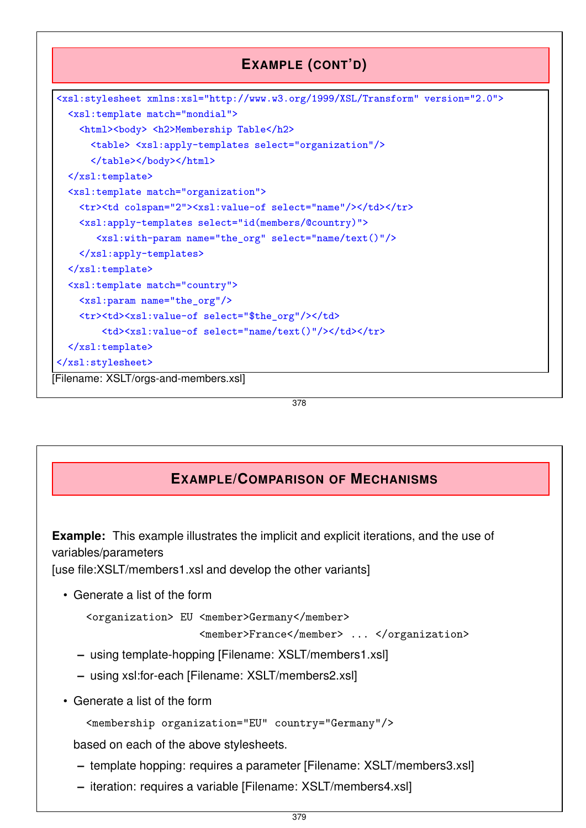

378

## **EXAMPLE/COMPARISON OF MECHANISMS**

**Example:** This example illustrates the implicit and explicit iterations, and the use of variables/parameters

[use file:XSLT/members1.xsl and develop the other variants]

• Generate a list of the form

```
<organization> EU <member>Germany</member>
```
<member>France</member> ... </organization>

- **–** using template-hopping [Filename: XSLT/members1.xsl]
- **–** using xsl:for-each [Filename: XSLT/members2.xsl]
- Generate a list of the form

```
<membership organization="EU" country="Germany"/>
```
based on each of the above stylesheets.

- **–** template hopping: requires a parameter [Filename: XSLT/members3.xsl]
- **–** iteration: requires a variable [Filename: XSLT/members4.xsl]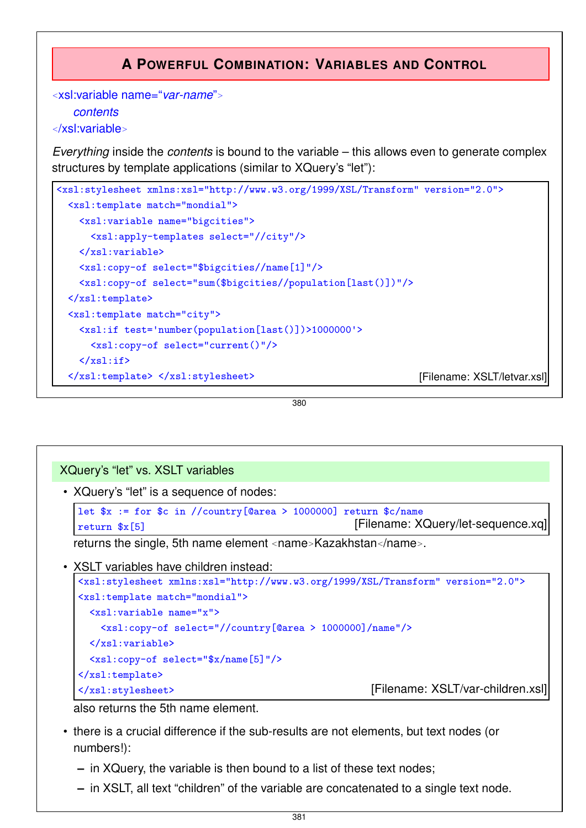## **A POWERFUL COMBINATION: VARIABLES AND CONTROL**

```
<xsl:variable name="var-name">
   contents
</xsl:variable>
```
*Everything* inside the *contents* is bound to the variable – this allows even to generate complex structures by template applications (similar to XQuery's "let"):

```
<xsl:stylesheet xmlns:xsl="http://www.w3.org/1999/XSL/Transform" version="2.0">
 <xsl:template match="mondial">
   <xsl:variable name="bigcities">
     <xsl:apply-templates select="//city"/>
   </xsl:variable>
   <xsl:copy-of select="$bigcities//name[1]"/>
   <xsl:copy-of select="sum($bigcities//population[last()])"/>
 \langle xsl:template\rangle<xsl:template match="city">
   <xsl:if test='number(population[last()])>1000000'>
     <xsl:copy-of select="current()"/>
   \langle xsl:if>
  </xsl:template> </xsl:stylesheet> [Filename: XSLT/letvar.xsl]
```
380

### XQuery's "let" vs. XSLT variables

• XQuery's "let" is a sequence of nodes:

```
let x := for sc in //country[@area > 1000000] return c/name
return x[5] [Filename: XQuery/let-sequence.xq]
```
returns the single, 5th name element *<sup>&</sup>lt;*name*>*Kazakhstan*<*/name*>*.

• XSLT variables have children instead:

```
<xsl:stylesheet xmlns:xsl="http://www.w3.org/1999/XSL/Transform" version="2.0">
<xsl:template match="mondial">
 <xsl:variable name="x">
   <xsl:copy-of select="//country[@area > 1000000]/name"/>
 \langle xs]: variable>
 <xsl:copy-of select="$x/name[5]"/>
</xsl:template>
</xsl:stylesheet> [Filename: XSLT/var-children.xsl]
```
also returns the 5th name element.

- there is a crucial difference if the sub-results are not elements, but text nodes (or numbers!):
	- **–** in XQuery, the variable is then bound to a list of these text nodes;
	- **–** in XSLT, all text "children" of the variable are concatenated to a single text node.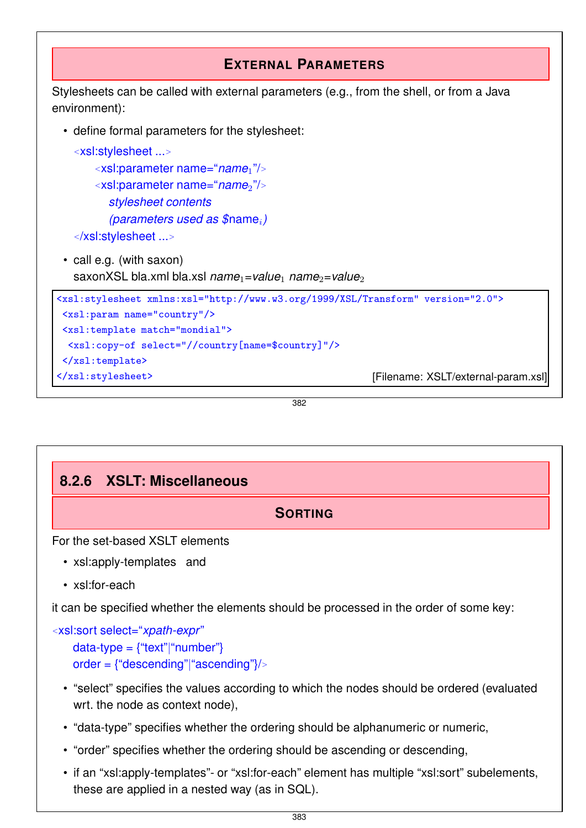```
EXTERNAL PARAMETERS
Stylesheets can be called with external parameters (e.g., from the shell, or from a Java
environment):
  • define formal parameters for the stylesheet:
    <xsl:stylesheet ...>
        <xsl:parameter name="name1"/>
        <xsl:parameter name="name2"/>
          stylesheet contents
          (parameters used as $namei)
    </xsl:stylesheet ...>
  • call e.g. (with saxon)
    saxonXSL bla.xml bla.xsl name<sub>1</sub>=value<sub>1</sub> name<sub>2</sub>=value<sub>2</sub>
 <xsl:stylesheet xmlns:xsl="http://www.w3.org/1999/XSL/Transform" version="2.0">
  <xsl:param name="country"/>
 <xsl:template match="mondial">
  <xsl:copy-of select="//country[name=$country]"/>
  </xsl:template>
 </xsl:stylesheet> [Filename: XSLT/external-param.xsl]
```
382

## **8.2.6 XSLT: Miscellaneous**

**SORTING**

For the set-based XSLT elements

- xsl:apply-templates and
- xsl:for-each

it can be specified whether the elements should be processed in the order of some key:

```
<xsl:sort select="xpath-expr"
   data-type = {``text"|``number"}order = {"descending"|"ascending"}/>
```
- "select" specifies the values according to which the nodes should be ordered (evaluated wrt. the node as context node),
- "data-type" specifies whether the ordering should be alphanumeric or numeric,
- "order" specifies whether the ordering should be ascending or descending,
- if an "xsl:apply-templates"- or "xsl:for-each" element has multiple "xsl:sort" subelements, these are applied in a nested way (as in SQL).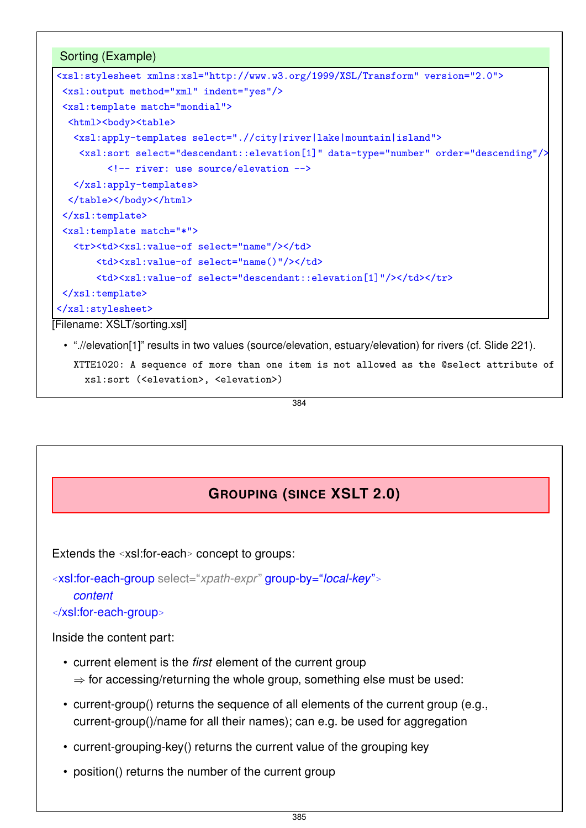

[Filename: XSLT/sorting.xsl]

• ".//elevation[1]" results in two values (source/elevation, estuary/elevation) for rivers (cf. Slide 221).

XTTE1020: A sequence of more than one item is not allowed as the @select attribute of xsl:sort (<elevation>, <elevation>)

384

## **GROUPING (SINCE XSLT 2.0)**

Extends the *<sup>&</sup>lt;*xsl:for-each*<sup>&</sup>gt;* concept to groups:

*<sup>&</sup>lt;*xsl:for-each-group select="*xpath-expr*" group-by="*local-key*"*<sup>&</sup>gt; content*

*<sup>&</sup>lt;*/xsl:for-each-group*<sup>&</sup>gt;*

Inside the content part:

- current element is the *first* element of the current group  $\Rightarrow$  for accessing/returning the whole group, something else must be used:
- current-group() returns the sequence of all elements of the current group (e.g., current-group()/name for all their names); can e.g. be used for aggregation
- current-grouping-key() returns the current value of the grouping key
- position() returns the number of the current group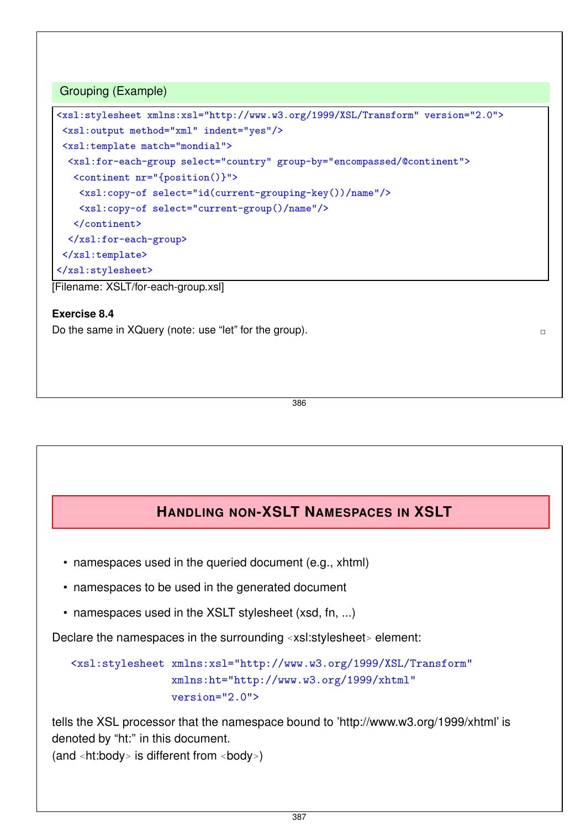### Grouping (Example)

```
<xsl:stylesheet xmlns:xsl="http://www.w3.org/1999/XSL/Transform" version="2.0">
<xsl:output method="xml" indent="yes"/>
<xsl:template match="mondial">
 <xsl:for-each-group select="country" group-by="encompassed/@continent">
  <continent nr="{position()}">
   <xsl:copy-of select="id(current-grouping-key())/name"/>
   <xsl:copy-of select="current-group()/name"/>
  </continent>
 </xsl:for-each-group>
\langle xsl:template\rangle</xsl:stylesheet>
```
[Filename: XSLT/for-each-group.xsl]

### **Exercise 8.4**

Do the same in XQuery (note: use "let" for the group).  $\Box$ 

386

### **HANDLING NON-XSLT NAMESPACES IN XSLT**

- namespaces used in the queried document (e.g., xhtml)
- namespaces to be used in the generated document
- namespaces used in the XSLT stylesheet (xsd, fn, ...)

Declare the namespaces in the surrounding *<sup>&</sup>lt;*xsl:stylesheet*<sup>&</sup>gt;* element:

```
<xsl:stylesheet xmlns:xsl="http://www.w3.org/1999/XSL/Transform"
                xmlns:ht="http://www.w3.org/1999/xhtml"
                version="2.0">
```
tells the XSL processor that the namespace bound to 'http://www.w3.org/1999/xhtml' is denoted by "ht:" in this document. (and *<sup>&</sup>lt;*ht:body*<sup>&</sup>gt;* is different from *<sup>&</sup>lt;*body*>*)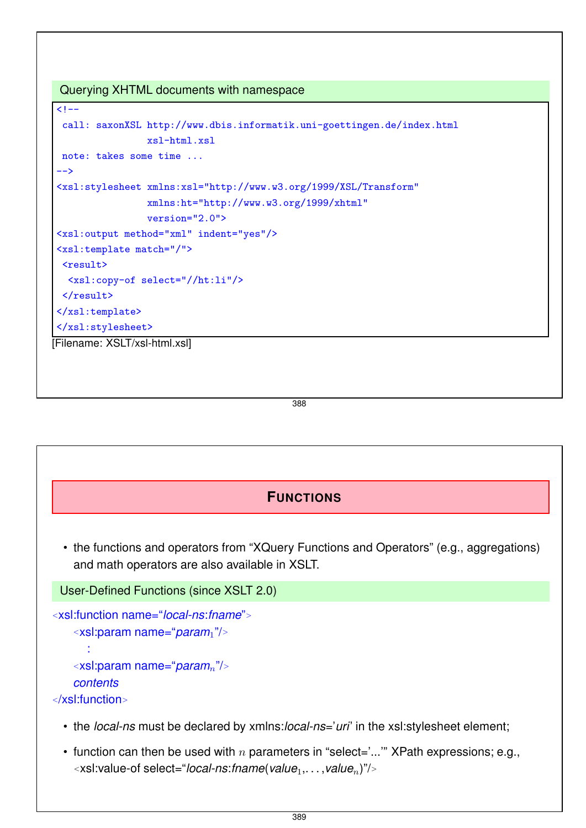Querying XHTML documents with namespace

```
\leq ! -call: saxonXSL http://www.dbis.informatik.uni-goettingen.de/index.html
                 xsl-html.xsl
 note: takes some time ...
-->
<xsl:stylesheet xmlns:xsl="http://www.w3.org/1999/XSL/Transform"
                 xmlns:ht="http://www.w3.org/1999/xhtml"
                 version="2.0">
<xsl:output method="xml" indent="yes"/>
<xsl:template match="/">
 <result>
  <xsl:copy-of select="//ht:li"/>
 \langleresult>
\langle xsl:template \rangle</xsl:stylesheet>
[Filename: XSLT/xsl-html.xsl]
```
388

## **FUNCTIONS**

• the functions and operators from "XQuery Functions and Operators" (e.g., aggregations) and math operators are also available in XSLT.

```
User-Defined Functions (since XSLT 2.0)
```

```
<xsl:function name="local-ns:fname">
   <xsl:param name="param1"/>
     :
   <xsl:param name="paramn"/>
```

```
contents
```
*<sup>&</sup>lt;*/xsl:function*<sup>&</sup>gt;*

- the *local-ns* must be declared by xmlns:*local-ns*='*uri*' in the xsl:stylesheet element;
- function can then be used with *n* parameters in "select='...'" XPath expressions; e.g., *<sup>&</sup>lt;*xsl:value-of select="*local-ns*:*fname*(*value*1,. . . ,*valuen*)"/*<sup>&</sup>gt;*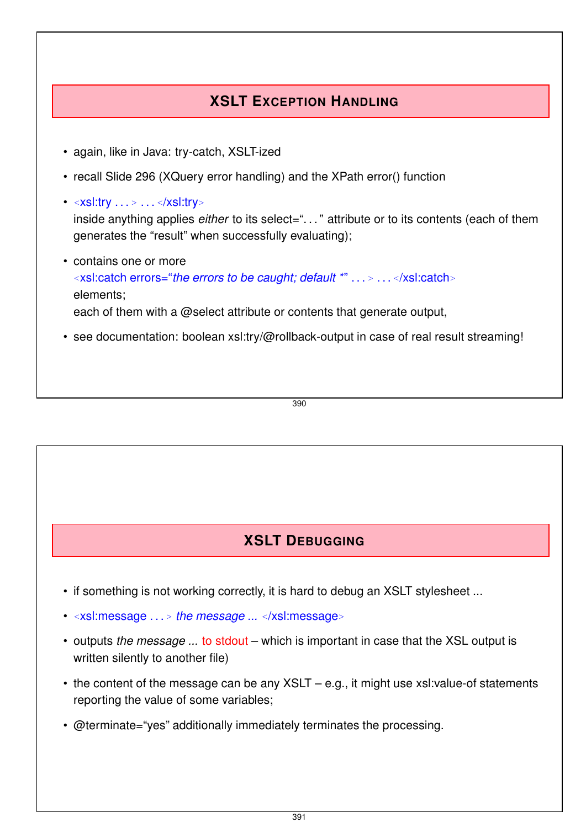## **XSLT EXCEPTION HANDLING**

- again, like in Java: try-catch, XSLT-ized
- recall Slide 296 (XQuery error handling) and the XPath error() function
- *<sup>&</sup>lt;*xsl:try . . . *<sup>&</sup>gt;* . . . *<sup>&</sup>lt;*/xsl:try*<sup>&</sup>gt;* inside anything applies *either* to its select="..." attribute or to its contents (each of them generates the "result" when successfully evaluating);
- contains one or more *<sup>&</sup>lt;*xsl:catch errors="*the errors to be caught; default \**" . . . *<sup>&</sup>gt;* . . . *<sup>&</sup>lt;*/xsl:catch*<sup>&</sup>gt;* elements; each of them with a @select attribute or contents that generate output,
- see documentation: boolean xsl:try/@rollback-output in case of real result streaming!

390

## **XSLT DEBUGGING**

- if something is not working correctly, it is hard to debug an XSLT stylesheet ...
- *<sup>&</sup>lt;*xsl:message . . . *<sup>&</sup>gt; the message ... <sup>&</sup>lt;*/xsl:message*<sup>&</sup>gt;*
- outputs *the message ...* to stdout which is important in case that the XSL output is written silently to another file)
- the content of the message can be any XSLT e.g., it might use xsl:value-of statements reporting the value of some variables;
- @terminate="yes" additionally immediately terminates the processing.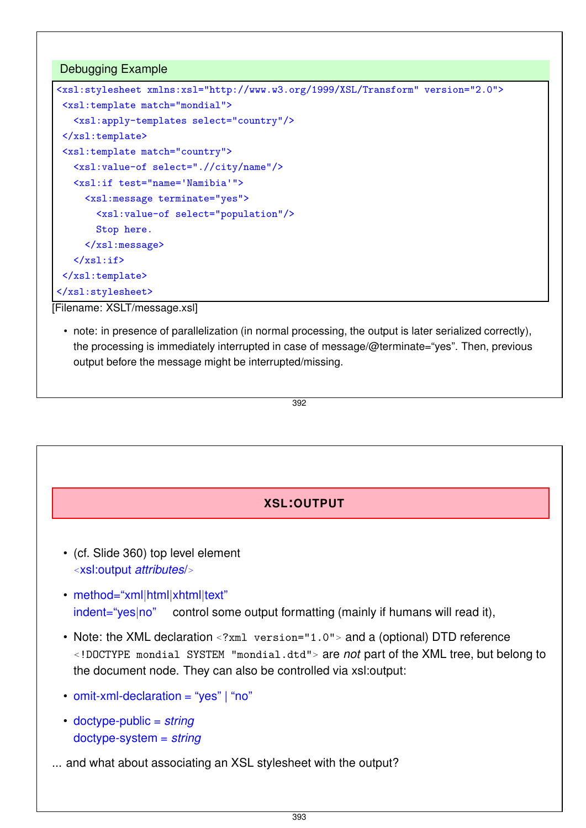## Debugging Example <xsl:stylesheet xmlns:xsl="http://www.w3.org/1999/XSL/Transform" version="2.0"> <xsl:template match="mondial"> <xsl:apply-templates select="country"/>  $\langle xsl:template \rangle$ <xsl:template match="country"> <xsl:value-of select=".//city/name"/> <xsl:if test="name='Namibia'"> <xsl:message terminate="yes"> <xsl:value-of select="population"/> Stop here. </xsl:message>  $\langle xsl:if\rangle$ </xsl:template> </xsl:stylesheet>

[Filename: XSLT/message.xsl]

• note: in presence of parallelization (in normal processing, the output is later serialized correctly), the processing is immediately interrupted in case of message/@terminate="yes". Then, previous output before the message might be interrupted/missing.

$$
\overline{392}
$$

## **XSL:OUTPUT**

- (cf. Slide 360) top level element *<sup>&</sup>lt;*xsl:output *attributes*/*<sup>&</sup>gt;*
- method="xml|html|xhtml|text" indent="yes|no" control some output formatting (mainly if humans will read it),
- Note: the XML declaration *<sup>&</sup>lt;*?xml version="1.0"*<sup>&</sup>gt;* and a (optional) DTD reference *<sup>&</sup>lt;*!DOCTYPE mondial SYSTEM "mondial.dtd"*<sup>&</sup>gt;* are *not* part of the XML tree, but belong to the document node. They can also be controlled via xsl:output:
- omit-xml-declaration = "yes" | "no"
- doctype-public = *string* doctype-system = *string*
- ... and what about associating an XSL stylesheet with the output?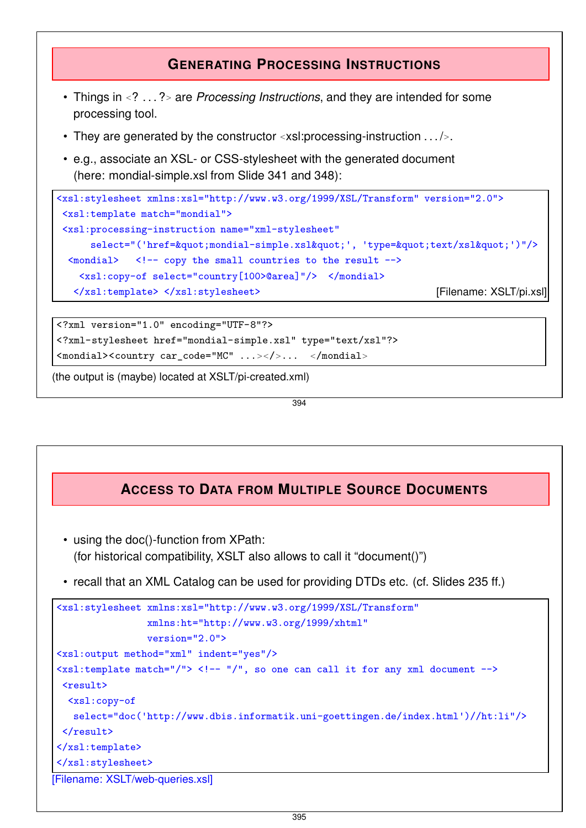## **GENERATING PROCESSING INSTRUCTIONS**

- Things in *<sup>&</sup>lt;*? . . . ?*<sup>&</sup>gt;* are *Processing Instructions*, and they are intended for some processing tool.
- They are generated by the constructor *<sup>&</sup>lt;*xsl:processing-instruction . . . /*>*.
- e.g., associate an XSL- or CSS-stylesheet with the generated document (here: mondial-simple.xsl from Slide 341 and 348):

```
<xsl:stylesheet xmlns:xsl="http://www.w3.org/1999/XSL/Transform" version="2.0">
<xsl:template match="mondial">
<xsl:processing-instruction name="xml-stylesheet"
     select="('href="mondial-simple.xsl"', 'type="text/xsl"')"/>
 \text{Comdial} <!-- copy the small countries to the result -->
   <xsl:copy-of select="country[100>@area]"/> </mondial>
  </xsl:template> </xsl:stylesheet> [Filename: XSLT/pi.xsl]
```

```
<?xml version="1.0" encoding="UTF-8"?>
<?xml-stylesheet href="mondial-simple.xsl" type="text/xsl"?>
<mondial><country car_code="MC" ...></>... </mondial>
```
(the output is (maybe) located at XSLT/pi-created.xml)

394

## **ACCESS TO DATA FROM MULTIPLE SOURCE DOCUMENTS**

- using the doc()-function from XPath: (for historical compatibility, XSLT also allows to call it "document()")
- recall that an XML Catalog can be used for providing DTDs etc. (cf. Slides 235 ff.)

```
<xsl:stylesheet xmlns:xsl="http://www.w3.org/1999/XSL/Transform"
                   xmlns:ht="http://www.w3.org/1999/xhtml"
                  version="2.0">
<xsl:output method="xml" indent="yes"/>
\langle xsl:template \text{ match} = \frac{n}{s} \rangle <!-- \frac{n}{s}, so one can call it for any xml document -->
 <result>
  <xsl:copy-of
    select="doc('http://www.dbis.informatik.uni-goettingen.de/index.html')//ht:li"/>
 \langleresult>
\langle xsl:template \rangle</xsl:stylesheet>
[Filename: XSLT/web-queries.xsl]
```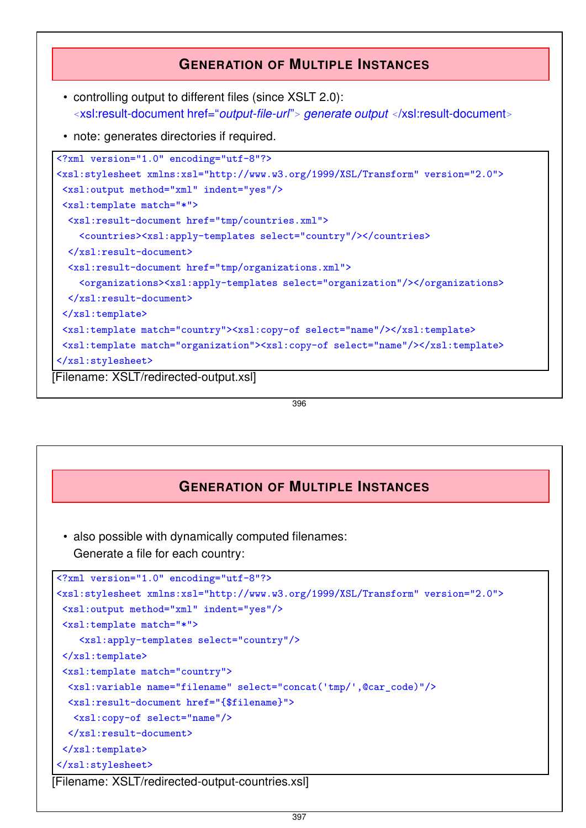### **GENERATION OF MULTIPLE INSTANCES**

- controlling output to different files (since XSLT 2.0): *<sup>&</sup>lt;*xsl:result-document href="*output-file-url*"*<sup>&</sup>gt; generate output <sup>&</sup>lt;*/xsl:result-document*<sup>&</sup>gt;*
- note: generates directories if required.

```
<?xml version="1.0" encoding="utf-8"?>
<xsl:stylesheet xmlns:xsl="http://www.w3.org/1999/XSL/Transform" version="2.0">
 <xsl:output method="xml" indent="yes"/>
 <xsl:template match="*">
  <xsl:result-document href="tmp/countries.xml">
    <countries><xsl:apply-templates select="country"/></countries>
  </xsl:result-document>
  <xsl:result-document href="tmp/organizations.xml">
    <organizations><xsl:apply-templates select="organization"/></organizations>
  </xsl:result-document>
 \langle xsl:template \rangle<xsl:template match="country"><xsl:copy-of select="name"/></xsl:template>
 <xsl:template match="organization"><xsl:copy-of select="name"/></xsl:template>
</xsl:stylesheet>
[Filename: XSLT/redirected-output.xsl]
```
396

### **GENERATION OF MULTIPLE INSTANCES**

- also possible with dynamically computed filenames:
	- Generate a file for each country:

```
<?xml version="1.0" encoding="utf-8"?>
<xsl:stylesheet xmlns:xsl="http://www.w3.org/1999/XSL/Transform" version="2.0">
 <xsl:output method="xml" indent="yes"/>
 <xsl:template match="*">
    <xsl:apply-templates select="country"/>
 \langle xsl:template \rangle<xsl:template match="country">
  <xsl:variable name="filename" select="concat('tmp/',@car_code)"/>
  <xsl:result-document href="{$filename}">
   <xsl:copy-of select="name"/>
  </xsl:result-document>
 </xsl:template>
</xsl:stylesheet>
[Filename: XSLT/redirected-output-countries.xsl]
```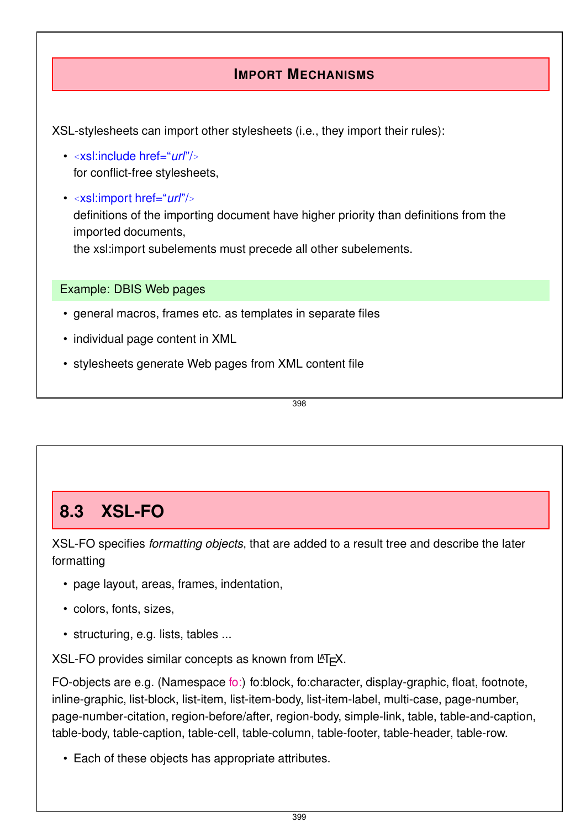## **IMPORT MECHANISMS**

XSL-stylesheets can import other stylesheets (i.e., they import their rules):

- *<sup>&</sup>lt;*xsl:include href="*url*"/*<sup>&</sup>gt;* for conflict-free stylesheets,
- *<sup>&</sup>lt;*xsl:import href="*url*"/*<sup>&</sup>gt;* definitions of the importing document have higher priority than definitions from the imported documents, the xsl:import subelements must precede all other subelements.

Example: DBIS Web pages

- general macros, frames etc. as templates in separate files
- individual page content in XML
- stylesheets generate Web pages from XML content file

398

## **8.3 XSL-FO**

XSL-FO specifies *formatting objects*, that are added to a result tree and describe the later formatting

- page layout, areas, frames, indentation,
- colors, fonts, sizes,
- structuring, e.g. lists, tables ...

 $XSL-FO$  provides similar concepts as known from  $ET<sub>F</sub>X$ .

FO-objects are e.g. (Namespace fo:) fo:block, fo:character, display-graphic, float, footnote, inline-graphic, list-block, list-item, list-item-body, list-item-label, multi-case, page-number, page-number-citation, region-before/after, region-body, simple-link, table, table-and-caption, table-body, table-caption, table-cell, table-column, table-footer, table-header, table-row.

• Each of these objects has appropriate attributes.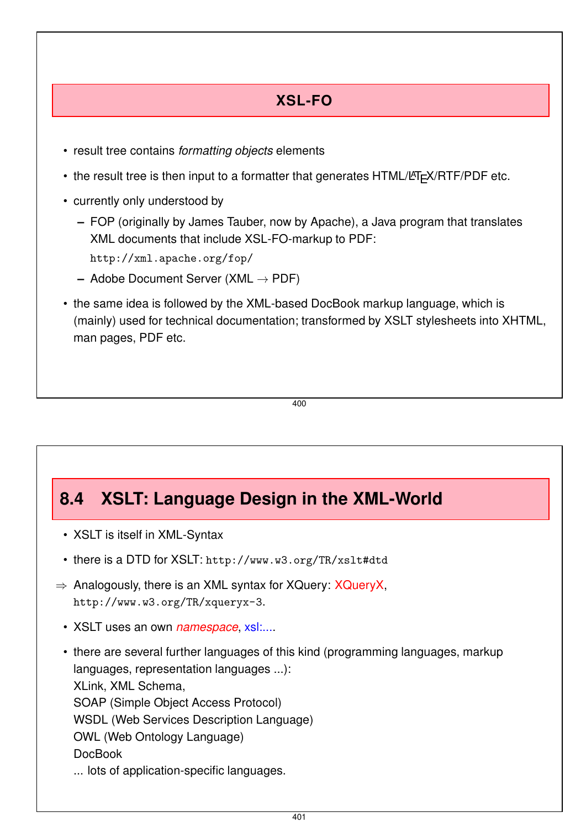## **XSL-FO**

- result tree contains *formatting objects* elements
- the result tree is then input to a formatter that generates HTML/LAT<sub>EX</sub>/RTF/PDF etc.
- currently only understood by
	- **–** FOP (originally by James Tauber, now by Apache), a Java program that translates XML documents that include XSL-FO-markup to PDF:
		- http://xml.apache.org/fop/
	- **–** Adobe Document Server (XML → PDF)
- the same idea is followed by the XML-based DocBook markup language, which is (mainly) used for technical documentation; transformed by XSLT stylesheets into XHTML, man pages, PDF etc.

400

## **8.4 XSLT: Language Design in the XML-World**

- XSLT is itself in XML-Syntax
- there is a DTD for XSLT: http://www.w3.org/TR/xslt#dtd
- $\Rightarrow$  Analogously, there is an XML syntax for XQuery: XQueryX, http://www.w3.org/TR/xqueryx-3.
	- XSLT uses an own *namespace*, xsl:....
	- there are several further languages of this kind (programming languages, markup languages, representation languages ...): XLink, XML Schema, SOAP (Simple Object Access Protocol) WSDL (Web Services Description Language) OWL (Web Ontology Language) DocBook ... lots of application-specific languages.